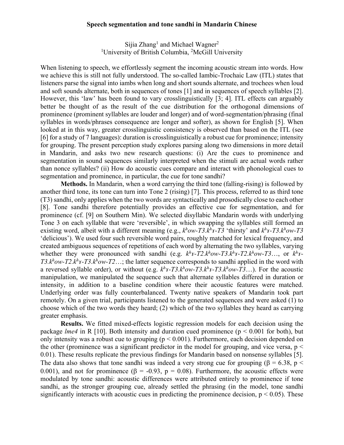## **Speech segmentation and tone sandhi in Mandarin Chinese**

Sijia Zhang<sup>1</sup> and Michael Wagner<sup>2</sup> <sup>1</sup>University of British Columbia, <sup>2</sup>McGill University

When listening to speech, we effortlessly segment the incoming acoustic stream into words. How we achieve this is still not fully understood. The so-called Iambic-Trochaic Law (ITL) states that listeners parse the signal into iambs when long and short sounds alternate, and trochees when loud and soft sounds alternate, both in sequences of tones [1] and in sequences of speech syllables [2]. However, this 'law' has been found to vary crosslinguistically [3; 4]. ITL effects can arguably better be thought of as the result of the cue distribution for the orthogonal dimensions of prominence (prominent syllables are louder and longer) and of word-segmentation/phrasing (final syllables in words/phrases consequence are longer and softer), as shown for English [5]. When looked at in this way, greater crosslinguistic consistency is observed than based on the ITL (see [6] for a study of 7 languages): duration is crosslinguistically a robust cue for prominence; intensity for grouping. The present perception study explores parsing along two dimensions in more detail in Mandarin, and asks two new research questions: (i) Are the cues to prominence and segmentation in sound sequences similarly interpreted when the stimuli are actual words rather than nonce syllables? (ii) How do acoustic cues compare and interact with phonological cues to segmentation and prominence, in particular, the cue for tone sandhi?

**Methods.** In Mandarin, when a word carrying the third tone (falling-rising) is followed by another third tone, its tone can turn into Tone 2 (rising) [7]. This process, referred to as third tone (T3) sandhi, only applies when the two words are syntactically and prosodically close to each other [8]. Tone sandhi therefore potentially provides an effective cue for segmentation, and for prominence (cf. [9] on Southern Min). We selected disyllabic Mandarin words with underlying Tone 3 on each syllable that were 'reversible', in which swapping the syllables still formed an existing word, albeit with a different meaning (e.g., *kh ow-T3.kh ɤ-T3* 'thirsty' and *kh ɤ-T3.kh ow-T3* 'delicious'). We used four such reversible word pairs, roughly matched for lexical frequency, and created ambiguous sequences of repetitions of each word by alternating the two syllables, varying whether they were pronounced with sandhi (e.g.  $k^h r$ -T2. $k^h \omega$ -T3. $k^h r$ -T2. $k^h \omega$ -T3..., or  $k^h r$ - $T3. k^h$ ow-T2. $k^h$ *x*-T3. $k^h$ ow-T2...; the latter sequence corresponds to sandhi applied in the word with a reversed syllable order), or without (e.g.  $k^h r$ -T3. $k^h$ ow-T3. $k^h r$ -T3. $k^h$ ow-T3...). For the acoustic manipulation, we manipulated the sequence such that alternate syllables differed in duration or intensity, in addition to a baseline condition where their acoustic features were matched. Underlying order was fully counterbalanced. Twenty native speakers of Mandarin took part remotely. On a given trial, participants listened to the generated sequences and were asked (1) to choose which of the two words they heard; (2) which of the two syllables they heard as carrying greater emphasis.

**Results.** We fitted mixed-effects logistic regression models for each decision using the package *lme4* in R [10]. Both intensity and duration cued prominence ( $p < 0.001$  for both), but only intensity was a robust cue to grouping ( $p < 0.001$ ). Furthermore, each decision depended on the other (prominence was a significant predictor in the model for grouping, and vice versa,  $p <$ 0.01). These results replicate the previous findings for Mandarin based on nonsense syllables [5]. The data also shows that tone sandhi was indeed a very strong cue for grouping ( $\beta$  = 6.38, p < 0.001), and not for prominence ( $\beta$  = -0.93,  $p = 0.08$ ). Furthermore, the acoustic effects were modulated by tone sandhi: acoustic differences were attributed entirely to prominence if tone sandhi, as the stronger grouping cue, already settled the phrasing (in the model, tone sandhi significantly interacts with acoustic cues in predicting the prominence decision,  $p < 0.05$ ). These